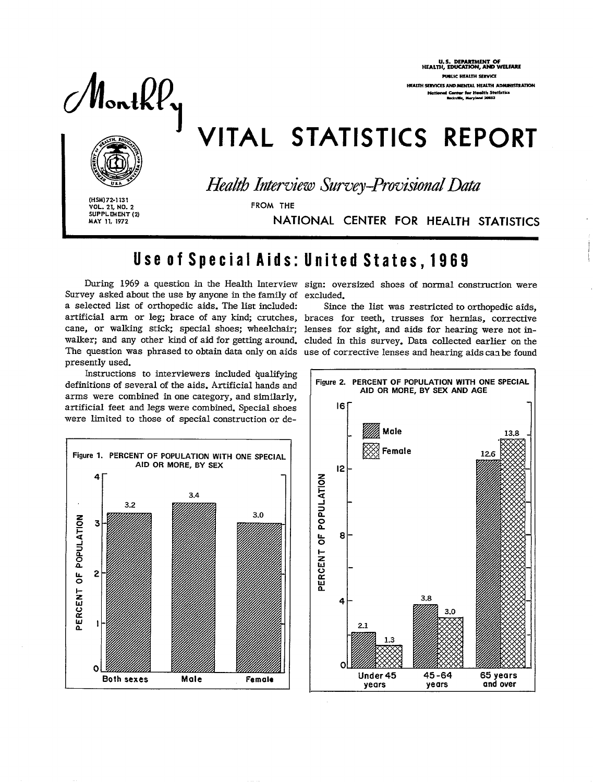Montk $P_\mathbf{y}$ 

U.S. DEPARTMENT OF<br>HEALTH, EDUCATION, AND WELFARE PUBLIC HEALTH SERVICE HEALTH SERVICES AND MENTAL HEALTH ADMINISTRATION lth Statistics

# VITAL STATISTICS REPORT



Health Interview Survey-Provisional Data

(HSM) 72-1131 **VOL. 21, NO. 2**<br>SUPPLEMENT (2) MAY 11, 1972

FROM THE

NATIONAL CENTER FOR HEALTH STATISTICS

## Use of Special Aids: United States, 1969

During 1969 a question in the Health Interview sign: oversized shoes of normal construction were Survey asked about the use by anyone in the family of excluded. a selected list of orthopedic aids. The list included: artificial arm or leg; brace of any kind; crutches, braces for teeth, trusses for hernias, corrective cane, or walking stick; special shoes; wheelchair; lenses for sight, and aids for hearing were not inwalker; and any other kind of aid for getting around. cluded in this survey. Data collected earlier on the The question was phrased to obtain data only on aids use of corrective lenses and hearing aids can be found presently used.

Instructions to interviewers included qualifying definitions of several of the aids. Artificial hands and arms were combined in one category, and similarly, artificial feet and legs were combined. Special shoes were limited to those of special construction or de-



Since the list was restricted to orthopedic aids,

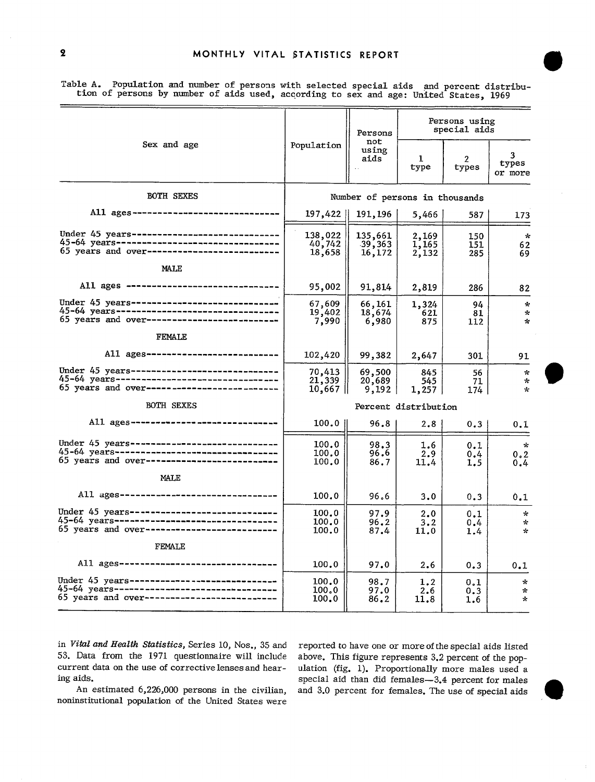@

|                                                                                                                                             |                                | Persons<br>not              | Persons using<br>special aids |                   |                                               |  |
|---------------------------------------------------------------------------------------------------------------------------------------------|--------------------------------|-----------------------------|-------------------------------|-------------------|-----------------------------------------------|--|
| Sex and age                                                                                                                                 | Population                     | using<br>aids               | 1<br>type                     | 2<br>types        | 3.<br>types<br>or more                        |  |
| <b>BOTH SEXES</b>                                                                                                                           | Number of persons in thousands |                             |                               |                   |                                               |  |
| All ages------------------------------                                                                                                      | 197,422                        | 191,196                     | 5,466                         | 587               | 173                                           |  |
| Under 45 years-------------------------------<br>45-64 years--------------------------------<br>65 years and over-------------------------- | 138,022<br>40,742<br>18,658    | 135,661<br>39,363<br>16,172 | 2,169<br>1,165<br>2,132       | 150<br>151<br>285 | $\pi$<br>62<br>69                             |  |
| MALE                                                                                                                                        |                                |                             |                               |                   |                                               |  |
| All ages -------------------------------                                                                                                    | 95,002                         | 91,814                      | 2,819                         | 286               | 82                                            |  |
| Under 45 years------------------------------<br>45-64 years--------------------------------<br>65 years and over--------------------------  | 67,609<br>19,402<br>7,990      | 66,161<br>18,674<br>6,980   | 1,324<br>621<br>875           | 94<br>81<br>112   | $\mathcal{R}$<br>$\tau$<br>$\star$            |  |
| FEMALE                                                                                                                                      |                                |                             |                               |                   |                                               |  |
| All ages---------------------------                                                                                                         | 102,420                        | 99,382                      | 2,647                         | 301               | 91                                            |  |
| Under 45 years -----------------------------<br>45-64 years-------------------------------<br>65 years and over--------------------------   | 70,413<br>21,339<br>10,667     | 69,500<br>20,689<br>9,192   | 845<br>545<br>1,257           | 56<br>71<br>174   | $\mathbf{r}_\mathrm{c}$<br>$\star$<br>$\star$ |  |
| BOTH SEXES                                                                                                                                  | Percent distribution           |                             |                               |                   |                                               |  |
| All ages ------------------------------                                                                                                     | $100.0$                        | 96.8                        | 2.8                           | 0.3               | 0.1                                           |  |
| Under 45 years ------------------------------<br>45-64 years---------------------------------<br>65 years and over------------------------- | 100.0<br>100.0<br>100.0        | 98.3<br>96.6<br>86.7        | 1.6<br>2.9<br>11.4            | 0.1<br>0.4<br>1.5 | $\kappa$<br>0.2<br>0.4                        |  |
| MALE                                                                                                                                        |                                |                             |                               |                   |                                               |  |
| All ages--------------------------------                                                                                                    | 100.0                          | 96.6                        | 3.0                           | 0.3               | 0.1                                           |  |
| Under 45 years -----------------------------<br>45-64 years---------------------------------<br>65 years and over-------------------------- | 100.0<br>100.0<br>100.0        | 97.9<br>96.2<br>87.4        | 2.0<br>3.2<br>11.0            | 0.1<br>0.4<br>1.4 | ÷<br>$\sim$<br>÷                              |  |
| FEMALE                                                                                                                                      |                                |                             |                               |                   |                                               |  |
| All ages----------------------------------                                                                                                  | 100.0                          | 97.0                        | 2.6                           | 0.3               | 0.1                                           |  |
| Under 45 years------------------------------<br>45-64 years---------------------------------<br>65 years and over-------------------------- | 100.0<br>100.0<br>100.0        | 98.7<br>97.0<br>86.2        | 1.2<br>2.6<br>11.8            | 0.1<br>0.3<br>1.6 | $\star$<br>$\star$<br>$\star$                 |  |

Table A. Population and number of persons with selected special aids and percent distribution of persons by number of aids used, according to sex and age: United States, 1969

 $\overline{\pi}$ 

in *Vital and Health Statistics*, Series 10, Nos., 35 and reported to have one or more of the special aids listed 53. Data from the 1971 questionnaire will include current data on the use of corrective lenses and hear-<br>ing aids.

noninstitutional population of the United States were

above. This figure represents 3.2 percent of the pop more males used a aids.<br>An estimated 6,226,000 persons in the civilian, and 3.0 percent for females. The use of special aids An estimated 6,226,000 persons in the civilian, and 3.0 percent for females. The use of special aids<br>nstitutional population of the United States were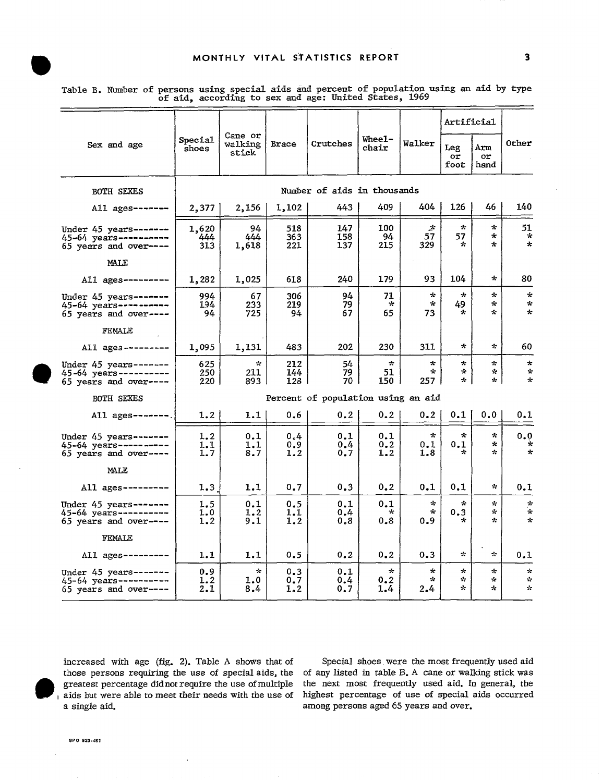|                                                                             | Special<br>shoes            |                               | Cane or<br>Brace<br>stick | Crutches                           | Wheel-<br>chair            | Walker                    | Artificial                    |                                         |                                         |
|-----------------------------------------------------------------------------|-----------------------------|-------------------------------|---------------------------|------------------------------------|----------------------------|---------------------------|-------------------------------|-----------------------------------------|-----------------------------------------|
| Sex and age                                                                 |                             | walking                       |                           |                                    |                            |                           | Leg<br>or<br>foot             | Arm<br>or<br>hand                       | Other                                   |
| BOTH SEXES                                                                  | Number of aids in thousands |                               |                           |                                    |                            |                           |                               |                                         |                                         |
| All ages-------                                                             | 2,377                       | 2,156                         | 1,102                     | 443.                               | 409                        | 404                       | 126                           | 46                                      | 140                                     |
| Under $45$ years-------<br>45-64 years----------<br>65 years and over----   | 1,620<br>444<br>313         | 94<br>444<br>1,618            | 518<br>363<br>221         | 147<br>158<br>137                  | 100<br>94<br>215           | 少<br>57<br>329            | $\star$<br>57<br>$\star$      | $\star$<br>$\star$<br>÷                 | 51<br>$\star$<br>$\star$                |
| MALE                                                                        |                             |                               |                           |                                    |                            |                           |                               |                                         |                                         |
| All $a$ ges---------                                                        | 1,282                       | 1,025                         | 618                       | 240                                | 179                        | 93                        | 104                           | ÷                                       | 80                                      |
| Under $45$ years-------<br>45-64 years----------<br>65 years and over----   | 994<br>194<br>94            | 67<br>233<br>725              | 306<br>219<br>94          | 94<br>79<br>67                     | 71<br>÷<br>65              | $\star$<br>÷<br>73        | $\star$<br>49<br>$\star$      | $\star$<br>÷<br>÷                       | $\star$<br>$\mathbf{x}$<br>$\star$      |
| FEMALE                                                                      |                             |                               |                           |                                    |                            |                           |                               |                                         |                                         |
| All $ages$ ---------                                                        | 1,095                       | 1,131                         | 483                       | 202                                | 230                        | 311                       | ÷                             | ÷                                       | 60                                      |
| Under $45$ years-------<br>45-64 years----------<br>$65$ years and over---- | 625<br>250<br>220 I         | $\mathcal{R}$<br>211<br>893 I | 212<br>144<br>128         | 54<br>79<br>70                     | $\mathcal{R}$<br>51<br>150 | ∗<br>$\star$<br>257 I     | $\kappa$<br>$\star$<br>* I    | $\star$<br>÷<br>$\star$                 | $\star$<br>$\star$<br>$\star$           |
| BOTH SEXES                                                                  |                             |                               |                           | Percent of population using an aid |                            |                           |                               |                                         |                                         |
| All $a$ ges-------.                                                         | 1.2                         | 1.1                           | 0.6                       | 0, 2                               | 0.2                        | 0, 2                      | 0.1                           | 0.0                                     | 0.1                                     |
| Under 45 years -------<br>45-64 years ----------<br>$65$ years and over---- | 1.2<br>1.1<br>1.7           | 0.1<br>1.1<br>8.7             | 0.4<br>0.9<br>1.2         | 0.1<br>0.4<br>0.7                  | 0.1<br>0.2<br>1.2          | $\star$<br>0.1<br>1.8     | $\star$<br>0.1                | $\star$<br>$\star$<br>$\mathcal{R}$     | 0.0<br>$\star$<br>$\mathbf{k}$          |
| MALE                                                                        |                             |                               |                           |                                    |                            |                           |                               |                                         |                                         |
| All $a$ ges ---------                                                       | 1.3                         | 1.1                           | 0.7                       | 0.3                                | 0.2                        | 0.1                       | 0.1                           | $\star$                                 | 0.1                                     |
| Under $45$ years-------<br>45-64 years ---------<br>$65$ years and over---- | 1.5<br>1.0<br>1.2           | 0.1<br>1.2<br>9.1             | 0.5<br>1.1<br>1.2         | 0.1<br>0.4<br>0.8                  | 0.1<br>*<br>0.8            | $\mathcal{R}$<br>*<br>0.9 | ∗<br>0.3<br>÷                 | $\mathbf{x}$<br>$\mathbf{x}$<br>$\star$ | $\pi$<br>$\star$<br>$\mathbf{x}$        |
| FEMALE                                                                      |                             |                               |                           |                                    |                            |                           |                               |                                         |                                         |
| All $a$ ges---------                                                        | 1.1                         | 1.1                           | 0.5                       | 0.2                                | 0, 2                       | 0.3                       | $\mathcal{L}_{\mathcal{C}}$   | $\star$                                 | 0.1                                     |
| Under 45 years -------<br>45-64 years----------<br>65 years and over----    | 0.9<br>1.2<br>2.1           | $\mathcal{R}$<br>1.0<br>8.4   | 0.3<br>0.7<br>1.2         | 0.1<br>0.4<br>0.7                  | $\star$<br>0.2<br>1.4      | $\star$<br>$\star$<br>2.4 | $\mathcal{R}$<br>$\star$<br>÷ | ∗<br>☆<br>÷                             | $\mathcal{R}$<br>$\sim$<br>$\mathbf{x}$ |

Table B. Number of persons using special aids and percent of population using an aid by type of aid, according to sex and age: United States, 1969





increased with age (fig. 2). Table A shows that of those persons requiring the use of special aids, the greatest percentage didnot require the use of multiple aids but were able to meet their needs with the use of a single aid.

Special shoes were the most frequently used aid of any listed in table B. A cane or walking stick was the next most frequently used aid. In general, the highest percentage of use of special aids occurred among persons aged 65 years and over.

3